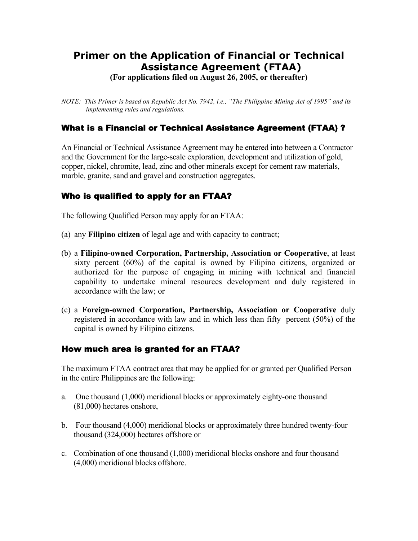# **Primer on the Application of Financial or Technical Assistance Agreement (FTAA)**

**(For applications filed on August 26, 2005, or thereafter)** 

*NOTE: This Primer is based on Republic Act No. 7942, i.e., "The Philippine Mining Act of 1995" and its implementing rules and regulations.* 

### What is a Financial or Technical Assistance Agreement (FTAA) ?

An Financial or Technical Assistance Agreement may be entered into between a Contractor and the Government for the large-scale exploration, development and utilization of gold, copper, nickel, chromite, lead, zinc and other minerals except for cement raw materials, marble, granite, sand and gravel and construction aggregates.

## Who is qualified to apply for an FTAA?

The following Qualified Person may apply for an FTAA:

- (a) any **Filipino citizen** of legal age and with capacity to contract;
- (b) a **Filipino-owned Corporation, Partnership, Association or Cooperative**, at least sixty percent (60%) of the capital is owned by Filipino citizens, organized or authorized for the purpose of engaging in mining with technical and financial capability to undertake mineral resources development and duly registered in accordance with the law; or
- (c) a **Foreign-owned Corporation, Partnership, Association or Cooperative** duly registered in accordance with law and in which less than fifty percent (50%) of the capital is owned by Filipino citizens.

#### How much area is granted for an FTAA?

The maximum FTAA contract area that may be applied for or granted per Qualified Person in the entire Philippines are the following:

- a. One thousand (1,000) meridional blocks or approximately eighty-one thousand (81,000) hectares onshore,
- b. Four thousand (4,000) meridional blocks or approximately three hundred twenty-four thousand (324,000) hectares offshore or
- c. Combination of one thousand (1,000) meridional blocks onshore and four thousand (4,000) meridional blocks offshore.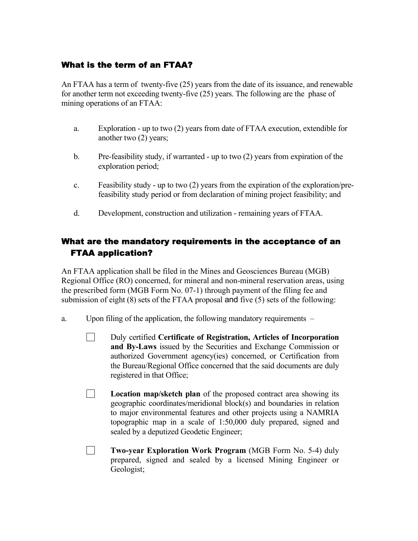# What is the term of an FTAA?

An FTAA has a term of twenty-five (25) years from the date of its issuance, and renewable for another term not exceeding twenty-five (25) years. The following are the phase of mining operations of an FTAA:

- a. Exploration up to two (2) years from date of FTAA execution, extendible for another two (2) years;
- b. Pre-feasibility study, if warranted up to two (2) years from expiration of the exploration period;
- c. Feasibility study up to two (2) years from the expiration of the exploration/prefeasibility study period or from declaration of mining project feasibility; and
- d. Development, construction and utilization remaining years of FTAA.

# What are the mandatory requirements in the acceptance of an FTAA application?

An FTAA application shall be filed in the Mines and Geosciences Bureau (MGB) Regional Office (RO) concerned, for mineral and non-mineral reservation areas, using the prescribed form (MGB Form No. 07-1) through payment of the filing fee and submission of eight (8) sets of the FTAA proposal and five (5) sets of the following:

- a. Upon filing of the application, the following mandatory requirements
	- □ Duly certified **Certificate of Registration, Articles of Incorporation and By-Laws** issued by the Securities and Exchange Commission or authorized Government agency(ies) concerned, or Certification from the Bureau/Regional Office concerned that the said documents are duly registered in that Office;
	- $\Box$ **Location map/sketch plan** of the proposed contract area showing its geographic coordinates/meridional block(s) and boundaries in relation to major environmental features and other projects using a NAMRIA topographic map in a scale of 1:50,000 duly prepared, signed and sealed by a deputized Geodetic Engineer;
	- $\Box$ **Two-year Exploration Work Program** (MGB Form No. 5-4) duly prepared, signed and sealed by a licensed Mining Engineer or Geologist;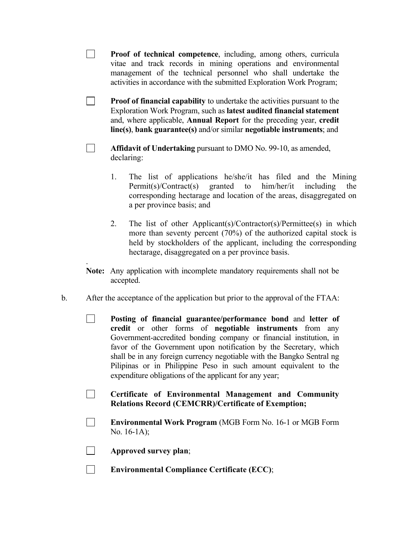- $\Box$ **Proof of technical competence**, including, among others, curricula vitae and track records in mining operations and environmental management of the technical personnel who shall undertake the activities in accordance with the submitted Exploration Work Program;
- $\Box$ **Proof of financial capability** to undertake the activities pursuant to the Exploration Work Program, such as **latest audited financial statement** and, where applicable, **Annual Report** for the preceding year, **credit line(s)**, **bank guarantee(s)** and/or similar **negotiable instruments**; and
- $\Box$ **Affidavit of Undertaking** pursuant to DMO No. 99-10, as amended, declaring:
	- 1. The list of applications he/she/it has filed and the Mining Permit(s)/Contract(s) granted to him/her/it including the corresponding hectarage and location of the areas, disaggregated on a per province basis; and
	- 2. The list of other Applicant(s)/Contractor(s)/Permittee(s) in which more than seventy percent (70%) of the authorized capital stock is held by stockholders of the applicant, including the corresponding hectarage, disaggregated on a per province basis.
- **Note:** Any application with incomplete mandatory requirements shall not be accepted.
- b. After the acceptance of the application but prior to the approval of the FTAA:
	- **Posting of financial guarantee/performance bond** and **letter of**   $\Box$ **credit** or other forms of **negotiable instruments** from any Government-accredited bonding company or financial institution, in favor of the Government upon notification by the Secretary, which shall be in any foreign currency negotiable with the Bangko Sentral ng Pilipinas or in Philippine Peso in such amount equivalent to the expenditure obligations of the applicant for any year;
	- **Certificate of Environmental Management and Community Relations Record (CEMCRR)/Certificate of Exemption;**
	- **Environmental Work Program** (MGB Form No. 16-1 or MGB Form  $\Box$ No. 16-1A);
	- $\Box$ **Approved survey plan**;

.

 $\Box$ **Environmental Compliance Certificate (ECC)**;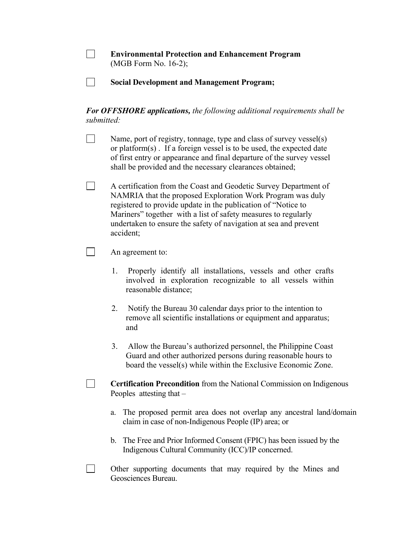| <b>Environmental Protection and Enhancement Program</b> |
|---------------------------------------------------------|
| $(MGB Form No. 16-2);$                                  |

 $\mathcal{L}^{\mathcal{L}}$ **Social Development and Management Program;** 

*For OFFSHORE applications, the following additional requirements shall be submitted:* 

Name, port of registry, tonnage, type and class of survey vessel(s) or platform(s) . If a foreign vessel is to be used, the expected date of first entry or appearance and final departure of the survey vessel shall be provided and the necessary clearances obtained;

 A certification from the Coast and Geodetic Survey Department of NAMRIA that the proposed Exploration Work Program was duly registered to provide update in the publication of "Notice to Mariners" together with a list of safety measures to regularly undertaken to ensure the safety of navigation at sea and prevent accident;

#### An agreement to:

 $\Box$ 

- 1. Properly identify all installations, vessels and other crafts involved in exploration recognizable to all vessels within reasonable distance;
- 2. Notify the Bureau 30 calendar days prior to the intention to remove all scientific installations or equipment and apparatus; and
- 3. Allow the Bureau's authorized personnel, the Philippine Coast Guard and other authorized persons during reasonable hours to board the vessel(s) while within the Exclusive Economic Zone.

**Certification Precondition** from the National Commission on Indigenous Peoples attesting that –

- a. The proposed permit area does not overlap any ancestral land/domain claim in case of non-Indigenous People (IP) area; or
- b. The Free and Prior Informed Consent (FPIC) has been issued by the Indigenous Cultural Community (ICC)/IP concerned.
- Other supporting documents that may required by the Mines and Geosciences Bureau.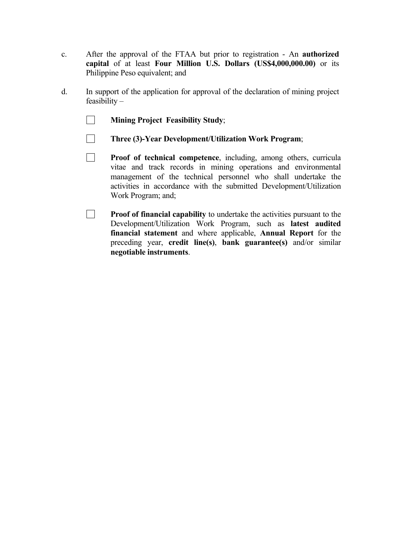- c. After the approval of the FTAA but prior to registration An **authorized capital** of at least **Four Million U.S. Dollars (US\$4,000,000.00)** or its Philippine Peso equivalent; and
- d. In support of the application for approval of the declaration of mining project feasibility –
	- $\Box$ **Mining Project Feasibility Study**;
	- $\Box$ **Three (3)-Year Development/Utilization Work Program**;
	- $\Box$ **Proof of technical competence**, including, among others, curricula vitae and track records in mining operations and environmental management of the technical personnel who shall undertake the activities in accordance with the submitted Development/Utilization Work Program; and;
	- $\Box$ **Proof of financial capability** to undertake the activities pursuant to the Development/Utilization Work Program, such as **latest audited financial statement** and where applicable, **Annual Report** for the preceding year, **credit line(s)**, **bank guarantee(s)** and/or similar **negotiable instruments**.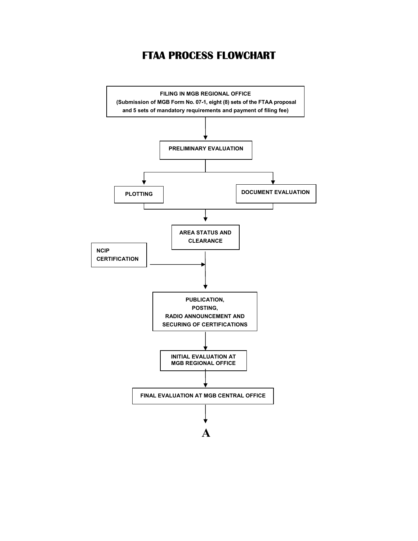# **FTAA PROCESS FLOWCHART**